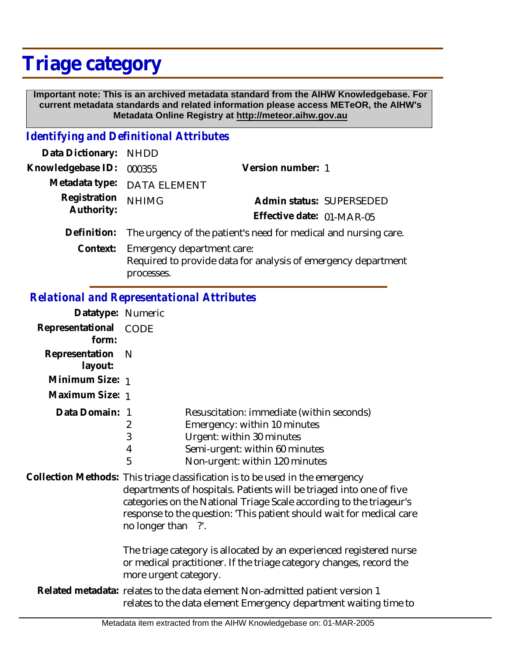# **Triage category**

 **Important note: This is an archived metadata standard from the AIHW Knowledgebase. For current metadata standards and related information please access METeOR, the AIHW's Metadata Online Registry at http://meteor.aihw.gov.au**

### *Identifying and Definitional Attributes*

| Data Dictionary: NHDD |                                                                 |                                                               |  |
|-----------------------|-----------------------------------------------------------------|---------------------------------------------------------------|--|
| Knowledgebase ID:     | 000355                                                          | Version number: 1                                             |  |
|                       | Metadata type: DATA ELEMENT                                     |                                                               |  |
| Registration          | <b>NHIMG</b>                                                    | Admin status: SUPERSEDED                                      |  |
| Authority:            |                                                                 | Effective date: 01-MAR-05                                     |  |
| Definition:           | The urgency of the patient's need for medical and nursing care. |                                                               |  |
| Context:              | Emergency department care:<br>processes.                        | Required to provide data for analysis of emergency department |  |

#### *Relational and Representational Attributes*

| Datatype: Numeric              |   |                                           |
|--------------------------------|---|-------------------------------------------|
| Representational CODE<br>form: |   |                                           |
| Representation N<br>layout:    |   |                                           |
| Minimum Size: 1                |   |                                           |
| Maximum Size: 1                |   |                                           |
| Data Domain: 1                 |   | Resuscitation: immediate (within seconds) |
|                                | 2 | Emergency: within 10 minutes              |
|                                | 3 | Urgent: within 30 minutes                 |
|                                | 4 | Semi-urgent: within 60 minutes            |
|                                | 5 | Non-urgent: within 120 minutes            |

Collection Methods: This triage classification is to be used in the emergency departments of hospitals. Patients will be triaged into one of five categories on the National Triage Scale according to the triageur's response to the question: 'This patient should wait for medical care no longer than ?'.

> The triage category is allocated by an experienced registered nurse or medical practitioner. If the triage category changes, record the more urgent category.

Related metadata: relates to the data element Non-admitted patient version 1 relates to the data element Emergency department waiting time to